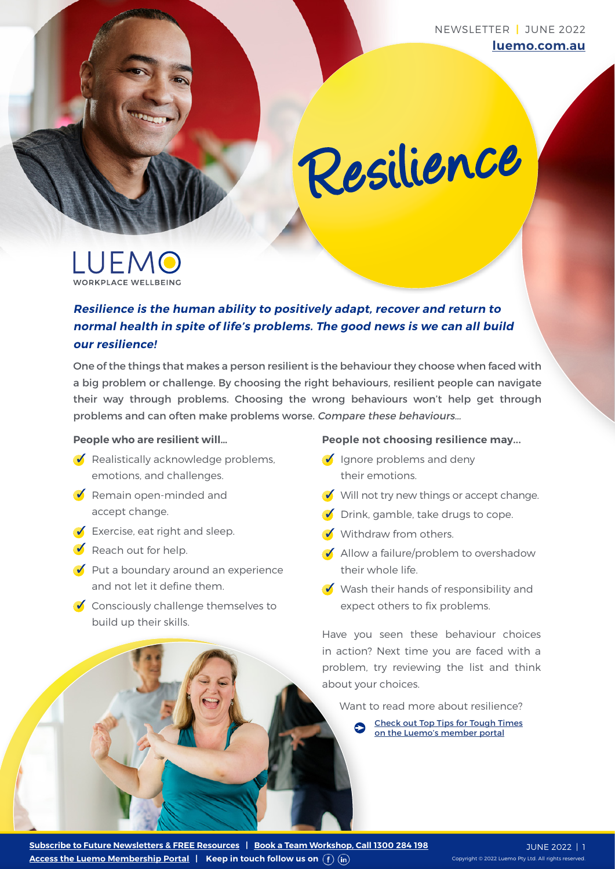NEWSLETTER **|** JUNE 2022 **luemo.com.au**

# Resilience

LUEMO WODKBLACE WELLBEING

### **Resilience is the human ability to positively adapt, recover and return to normal health in spite of life's problems. The good news is we can all build our resilience!**

One of the things that makes a person resilient is the behaviour they choose when faced with a big problem or challenge. By choosing the right behaviours, resilient people can navigate their way through problems. Choosing the wrong behaviours won't help get through problems and can often make problems worse. Compare these behaviours…

#### **People who are resilient will…**

- $\bullet$  Realistically acknowledge problems, emotions, and challenges.
- $\bullet$  Remain open-minded and accept change.
- $\bullet$  Exercise, eat right and sleep.
- $\bullet$  Reach out for help.
- $\bullet$  Put a boundary around an experience and not let it define them.
- $\bullet$  Consciously challenge themselves to build up their skills.

#### **People not choosing resilience may...**

- $\bigcirc$  Ignore problems and deny their emotions.
- $\bullet$  Will not try new things or accept change.
- $\bullet$  Drink, gamble, take drugs to cope.
- Withdraw from others
- $\bullet$  Allow a failure/problem to overshadow their whole life.
- $\bigvee$  Wash their hands of responsibility and expect others to fix problems.

Have you seen these behaviour choices in action? Next time you are faced with a problem, try reviewing the list and think about your choices.

Want to read more about resilience?

[Check out Top Tips for Tough Times](https://luemo.com.au/resource/top-tips-for-tough-times/) [on the Luemo's member portal](https://luemo.com.au/resource/top-tips-for-tough-times/)

**[Access the Luemo Membership Portal](https://luemo.com.au/subscribe-now/) | Keep in touch follow us on [Subscribe to Future Newsletters & FREE Resources](https://luemo.com.au/portal-resources/newsletters/) | [Book a Team Workshop, Call 1300 284 198](https://luemo.com.au/contact-us/)**